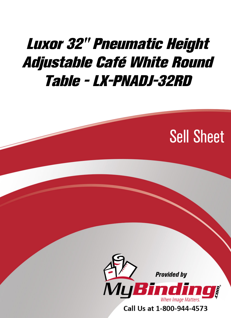## [Luxor 32" Pneumatic Height](https://www.mybinding.com/luxor-pneumatic-height-adjustable-cafe-white-round-tables.html?sku=LX-PNADJ-32RD)  Adjustable Café White Round Table - LX-PNADJ-32RD

# Sell Sheet



Call Us at 1-800-944-4573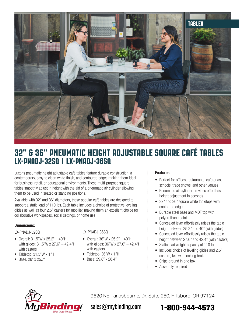

### LX-PNADJ-32SQ | LX-PNADJ-36SQ 32" & 36" PNEUMATIC HEIGHT ADJUSTABLE SQUARE CAFÉ TABLEs

Luxor's pneumatic height adjustable café tables feature durable construction, a contemporary, easy to clean white finish, and contoured edges making them ideal for business, retail, or educational environments. These multi-purpose square tables smoothly adjust in height with the aid of a pneumatic air cylinder allowing them to be used in seated or standing positions.

Available with 32" and 36" diameters, these popular café tables are designed to support a static load of 110 lbs. Each table includes a choice of protective leveling glides as well as four 2.5" casters for mobility, making them an excellent choice for collaborative workspaces, social settings, or home use.

#### **Dimensions:**

#### LX-PNADJ-32SQ

- Overall: 31.5"W x 25.2" 40"H with glides; 31.5"W x 27.6" – 42.4"H with casters
- Tabletop: 31.5"W x 1"H
- Base: 26" x 25.7"

#### LX-PNADJ-36SQ

- Overall: 36"W x 25.2" 40"H with glides; 36"W x 27.6" – 42.4"H with casters
- Tabletop: 36"W x 1"H
- Base: 29.8" x 28.4"

#### **Features:**

- Perfect for offices, restaurants, cafeterias, schools, trade shows, and other venues
- Pneumatic air cylinder provides effortless height adjustment in seconds
- 32" and 36" square white tabletops with contoured edges
- Durable steel base and MDF top with polyurethane paint
- Concealed lever effortlessly raises the table height between 25.2" and 40" (with glides)
- Concealed lever effortlessly raises the table height between 27.6" and 42.4" (with casters)
- Static load weight capacity of 110 lbs.
- Includes choice of leveling glides and 2.5" casters, two with locking brake
- Ships ground in one box
- Assembly required



9620 NE Tanasbourne, Dr. Suite 250, Hillsboro, OR 97124

## [sales@mybinding.com](mailto:sales@mybinding.com) **[1-800-944-4573](tel:1-800-944-4573)**